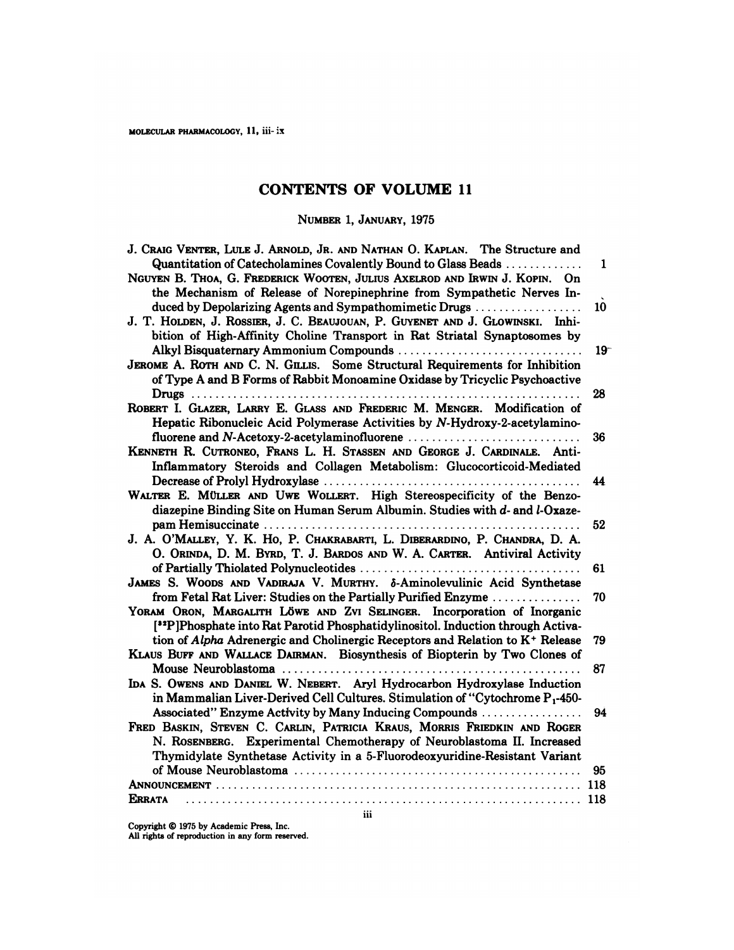# **CONTENTS OF VOLUME 11**

| THIID OF ION                                                                                                                                                                                                                                                                                           |        |
|--------------------------------------------------------------------------------------------------------------------------------------------------------------------------------------------------------------------------------------------------------------------------------------------------------|--------|
| NUMBER 1, JANUARY, 1975                                                                                                                                                                                                                                                                                |        |
| J. CRAIG VENTER, LULE J. ARNOLD, JR. AND NATHAN O. KAPLAN. The Structure and<br>Quantitation of Catecholamines Covalently Bound to Glass Beads<br>NGUYEN B. THOA, G. FREDERICK WOOTEN, JULIUS AXELROD AND IRWIN J. KOPIN. On<br>the Mechanism of Release of Norepinephrine from Sympathetic Nerves In- | 1      |
| duced by Depolarizing Agents and Sympathomimetic Drugs<br>J. T. HOLDEN, J. ROSSIER, J. C. BEAUJOUAN, P. GUYENET AND J. GLOWINSKI. Inhi-<br>bition of High-Affinity Choline Transport in Rat Striatal Synaptosomes by                                                                                   | 10     |
| JEROME A. ROTH AND C. N. GILLIS. Some Structural Requirements for Inhibition<br>of Type A and B Forms of Rabbit Monoamine Oxidase by Tricyclic Psychoactive                                                                                                                                            | $19^-$ |
| ROBERT I. GLAZER, LARRY E. GLASS AND FREDERIC M. MENGER. Modification of<br>Hepatic Ribonucleic Acid Polymerase Activities by N-Hydroxy-2-acetylamino-                                                                                                                                                 | 28     |
| KENNETH R. CUTRONEO, FRANS L. H. STASSEN AND GEORGE J. CARDINALE. Anti-<br>Inflammatory Steroids and Collagen Metabolism: Glucocorticoid-Mediated                                                                                                                                                      | 36     |
| WALTER E. MÜLLER AND UWE WOLLERT. High Stereospecificity of the Benzo-<br>diazepine Binding Site on Human Serum Albumin. Studies with d- and l-Oxaze-                                                                                                                                                  | 44     |
| J. A. O'MALLEY, Y. K. Ho, P. CHAKRABARTI, L. DIBERARDINO, P. CHANDRA, D. A.<br>O. ORINDA, D. M. BYRD, T. J. BARDOS AND W. A. CARTER. Antiviral Activity                                                                                                                                                | 52     |
| JAMES S. WOODS AND VADIRAJA V. MURTHY. $\delta$ -Aminolevulinic Acid Synthetase                                                                                                                                                                                                                        | 61     |
| from Fetal Rat Liver: Studies on the Partially Purified Enzyme<br>YORAM ORON, MARGALITH LÖWE AND ZVI SELINGER. Incorporation of Inorganic<br>[32] Phosphate into Rat Parotid Phosphatidylinositol. Induction through Activa-                                                                           | 70     |
| tion of Alpha Adrenergic and Cholinergic Receptors and Relation to K <sup>+</sup> Release<br>KLAUS BUFF AND WALLACE DAIRMAN. Biosynthesis of Biopterin by Two Clones of                                                                                                                                | 79     |
| IDA S. OWENS AND DANIEL W. NEBERT. Aryl Hydrocarbon Hydroxylase Induction<br>in Mammalian Liver-Derived Cell Cultures. Stimulation of "Cytochrome $P_1$ -450-                                                                                                                                          | 87     |
| Associated" Enzyme Activity by Many Inducing Compounds<br>FRED BASKIN, STEVEN C. CARLIN, PATRICIA KRAUS, MORRIS FRIEDKIN AND ROGER<br>N. ROSENBERG. Experimental Chemotherapy of Neuroblastoma II. Increased<br>Thymidylate Synthetase Activity in a 5-Fluorodeoxyuridine-Resistant Variant            | 94     |
|                                                                                                                                                                                                                                                                                                        | 95     |
|                                                                                                                                                                                                                                                                                                        |        |
| <b>ERRATA</b><br>iii                                                                                                                                                                                                                                                                                   | 118    |
| Copyright © 1975 by Academic Press, Inc.<br>All rights of reproduction in any form reserved.                                                                                                                                                                                                           |        |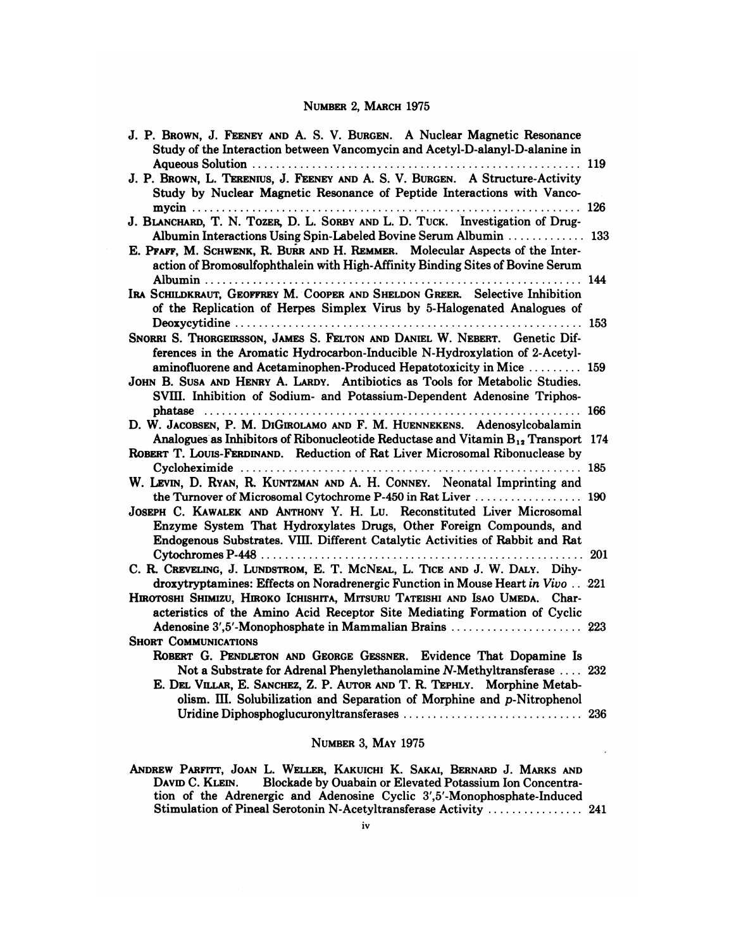## NUMBER 2, MARCH 1975

| NUMBER 2, MARCH 1975                                                                                                                                                                                                                        |     |
|---------------------------------------------------------------------------------------------------------------------------------------------------------------------------------------------------------------------------------------------|-----|
| J. P. BROWN, J. FEENEY AND A. S. V. BURGEN. A Nuclear Magnetic Resonance<br>Study of the Interaction between Vancomycin and Acetyl-D-alanyl-D-alanine in                                                                                    |     |
| J. P. BROWN, L. TERENIUS, J. FEENEY AND A. S. V. BURGEN. A Structure-Activity<br>Study by Nuclear Magnetic Resonance of Peptide Interactions with Vanco-                                                                                    |     |
| J. BLANCHARD, T. N. TOZER, D. L. SORBY AND L. D. TUCK. Investigation of Drug-                                                                                                                                                               |     |
| Albumin Interactions Using Spin-Labeled Bovine Serum Albumin  133<br>E. PFAFF, M. SCHWENK, R. BURR AND H. REMMER. Molecular Aspects of the Inter-<br>action of Bromosulfophthalein with High-Affinity Binding Sites of Bovine Serum         |     |
| IRA SCHILDKRAUT, GEOFFREY M. COOPER AND SHELDON GREER. Selective Inhibition<br>of the Replication of Herpes Simplex Virus by 5-Halogenated Analogues of                                                                                     |     |
| SNORRI S. THORGEIRSSON, JAMES S. FELTON AND DANIEL W. NEBERT. Genetic Dif-<br>ferences in the Aromatic Hydrocarbon-Inducible N-Hydroxylation of 2-Acetyl-                                                                                   |     |
| aminofluorene and Acetaminophen-Produced Hepatotoxicity in Mice  159<br>JOHN B. SUSA AND HENRY A. LARDY. Antibiotics as Tools for Metabolic Studies.<br>SVIII. Inhibition of Sodium- and Potassium-Dependent Adenosine Triphos-             |     |
| D. W. JACOBSEN, P. M. DIGIROLAMO AND F. M. HUENNEKENS. Adenosylcobalamin                                                                                                                                                                    |     |
| Analogues as Inhibitors of Ribonucleotide Reductase and Vitamin $B_{12}$ Transport 174<br>ROBERT T. LOUIS-FERDINAND. Reduction of Rat Liver Microsomal Ribonuclease by                                                                      |     |
| W. LEVIN, D. RYAN, R. KUNTZMAN AND A. H. CONNEY. Neonatal Imprinting and                                                                                                                                                                    |     |
| JOSEPH C. KAWALEK AND ANTHONY Y. H. LU. Reconstituted Liver Microsomal<br>Enzyme System That Hydroxylates Drugs, Other Foreign Compounds, and                                                                                               |     |
| Endogenous Substrates. VIII. Different Catalytic Activities of Rabbit and Rat<br>$Cytochromes P-448 \ldots  \ldots  \ldots  \ldots  \ldots  \ldots  \ldots  \ldots $                                                                        | 201 |
| C. R. CREVELING, J. LUNDSTROM, E. T. MCNEAL, L. TICE AND J. W. DALY. Dihy-<br>droxytryptamines: Effects on Noradrenergic Function in Mouse Heart in Vivo 221<br>HIROTOSHI SHIMIZU, HIROKO ICHISHITA, MITSURU TATEISHI AND ISAO UMEDA. Char- |     |
| acteristics of the Amino Acid Receptor Site Mediating Formation of Cyclic<br>Adenosine 3',5'-Monophosphate in Mammalian Brains  223                                                                                                         |     |
| <b>SHORT COMMUNICATIONS</b><br>ROBERT G. PENDLETON AND GEORGE GESSNER. Evidence That Dopamine Is                                                                                                                                            |     |
| Not a Substrate for Adrenal Phenylethanolamine N-Methyltransferase  232<br>E. DEL VILLAR, E. SANCHEZ, Z. P. AUTOR AND T. R. TEPHLY. Morphine Metab-<br>olism. III. Solubilization and Separation of Morphine and p-Nitrophenol              |     |
|                                                                                                                                                                                                                                             | 236 |

### NUMBER 3, MAY 1975

ANDREW PARFITT, JOAN L. WELLER, KAKUICHI K. SAKAI, BERNARD J. MARKS AND<br>DAVID C. KLEIN. Blockade by Ouabain or Elevated Potassium Ion Concentra-<br>tion of the Adrenergic and Adenosine Cyclic 3',5'-Monophosphate-Induced NUMBER 3, MAY 1975<br>REW PARFITT, JOAN L. WELLER, KAKUICHI K. SAKAI, BERNARD J. MARK:<br>DAVID C. KLEIN. Blockade by Ouabain or Elevated Potassium Ion Conce<br>tion of the Adrenergic and Adenosine Cyclic 3',5'-Monophosphate-Induct REW PARFITT, JOAN L. WELLER, KAKUICHI K. SAKAI, BERNARD J. MARKS AND<br>DAVID C. KLEIN. Blockade by Ouabain or Elevated Potassium Ion Concentra-<br>tion of the Adrenergic and Adenosine Cyclic 3',5'-Monophosphate-Induced<br>Stimulat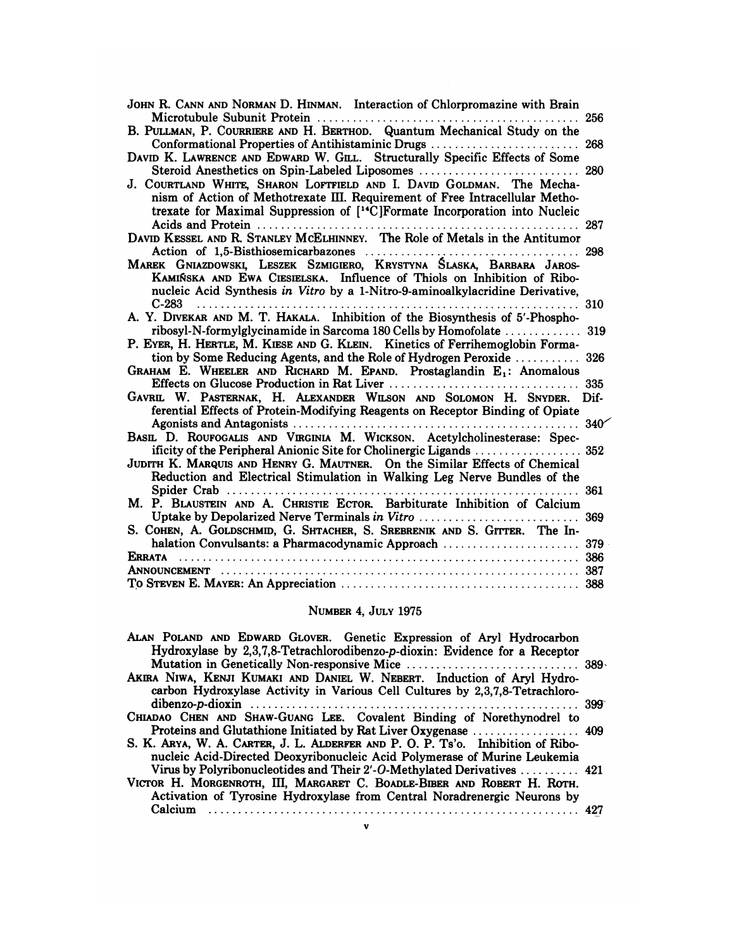| JOHN R. CANN AND NORMAN D. HINMAN. Interaction of Chlorpromazine with Brain<br>$\mathbf{L}$ . $\mathbf{L}$                                                                                                                                       | 256  |
|--------------------------------------------------------------------------------------------------------------------------------------------------------------------------------------------------------------------------------------------------|------|
| B. PULLMAN, P. COURRIERE AND H. BERTHOD. Quantum Mechanical Study on the<br>Conformational Properties of Antihistaminic Drugs                                                                                                                    | 268  |
| DAVID K. LAWRENCE AND EDWARD W. GILL. Structurally Specific Effects of Some<br>Steroid Anesthetics on Spin-Labeled Liposomes                                                                                                                     | 280  |
| J. COURTLAND WHITE, SHARON LOFTFIELD AND I. DAVID GOLDMAN. The Mecha-<br>nism of Action of Methotrexate III. Requirement of Free Intracellular Metho-<br>trexate for Maximal Suppression of [ <sup>14</sup> C]Formate Incorporation into Nucleic |      |
|                                                                                                                                                                                                                                                  | 287  |
|                                                                                                                                                                                                                                                  | 298  |
| MAREK GNIAZDOWSKI, LESZEK SZMIGIERO, KRYSTYNA ŚLASKA, BARBARA JAROS-<br>KAMIŃSKA AND EWA CIESIELSKA. Influence of Thiols on Inhibition of Ribo-<br>nucleic Acid Synthesis in Vitro by a 1-Nitro-9-aminoalkylacridine Derivative,                 |      |
| C-283<br>A. Y. DIVEKAR AND M. T. HAKALA. Inhibition of the Biosynthesis of 5'-Phospho-                                                                                                                                                           |      |
| ribosyl-N-formylglycinamide in Sarcoma 180 Cells by Homofolate  319<br>P. EYER, H. HERTLE, M. KIESE AND G. KLEIN. Kinetics of Ferrihemoglobin Forma-                                                                                             |      |
| tion by Some Reducing Agents, and the Role of Hydrogen Peroxide                                                                                                                                                                                  | 326  |
| GRAHAM E. WHEELER AND RICHARD M. EPAND. Prostaglandin E <sub>1</sub> : Anomalous<br>Effects on Glucose Production in Rat Liver<br>.                                                                                                              | 335  |
| GAVRIL W. PASTERNAK, H. ALEXANDER WILSON AND SOLOMON H. SNYDER.<br>ferential Effects of Protein-Modifying Reagents on Receptor Binding of Opiate                                                                                                 | Dif- |
| BASIL D. ROUFOGALIS AND VIRGINIA M. WICKSON. Acetylcholinesterase: Spec-                                                                                                                                                                         |      |
| JUDITH K. MARQUIS AND HENRY G. MAUTNER. On the Similar Effects of Chemical<br>Reduction and Electrical Stimulation in Walking Leg Nerve Bundles of the                                                                                           |      |
| M. P. BLAUSTEIN AND A. CHRISTIE ECTOR. Barbiturate Inhibition of Calcium                                                                                                                                                                         | 361  |
| Uptake by Depolarized Nerve Terminals in Vitro<br>S. COHEN, A. GOLDSCHMID, G. SHTACHER, S. SREBRENIK AND S. GITTER. The In-                                                                                                                      | 369  |
| halation Convulsants: a Pharmacodynamic Approach                                                                                                                                                                                                 | 379  |
|                                                                                                                                                                                                                                                  |      |
|                                                                                                                                                                                                                                                  | 387  |
|                                                                                                                                                                                                                                                  |      |
|                                                                                                                                                                                                                                                  |      |

# NUMBER 4, JULY 1975

| NUMBER 4. JULY 1975                                                                                                                                                                                                            |  |
|--------------------------------------------------------------------------------------------------------------------------------------------------------------------------------------------------------------------------------|--|
| ALAN POLAND AND EDWARD GLOVER. Genetic Expression of Aryl Hydrocarbon<br>Hydroxylase by 2,3,7,8-Tetrachlorodibenzo-p-dioxin: Evidence for a Receptor                                                                           |  |
| AKIRA NIWA, KENJI KUMAKI AND DANIEL W. NEBERT. Induction of Aryl Hydro-<br>carbon Hydroxylase Activity in Various Cell Cultures by 2,3,7,8-Tetrachloro-                                                                        |  |
| CHIADAO CHEN AND SHAW-GUANG LEE. Covalent Binding of Norethynodrel to                                                                                                                                                          |  |
| S. K. ARYA, W. A. CARTER, J. L. ALDERFER AND P. O. P. Ts'o. Inhibition of Ribo-<br>nucleic Acid-Directed Deoxyribonucleic Acid Polymerase of Murine Leukemia                                                                   |  |
| Virus by Polyribonucleotides and Their 2'-O-Methylated Derivatives  421<br>VICTOR H. MORGENROTH, III, MARGARET C. BOADLE-BIBER AND ROBERT H. ROTH.<br>Activation of Tyrosine Hydroxylase from Central Noradrenergic Neurons by |  |
| Calcium                                                                                                                                                                                                                        |  |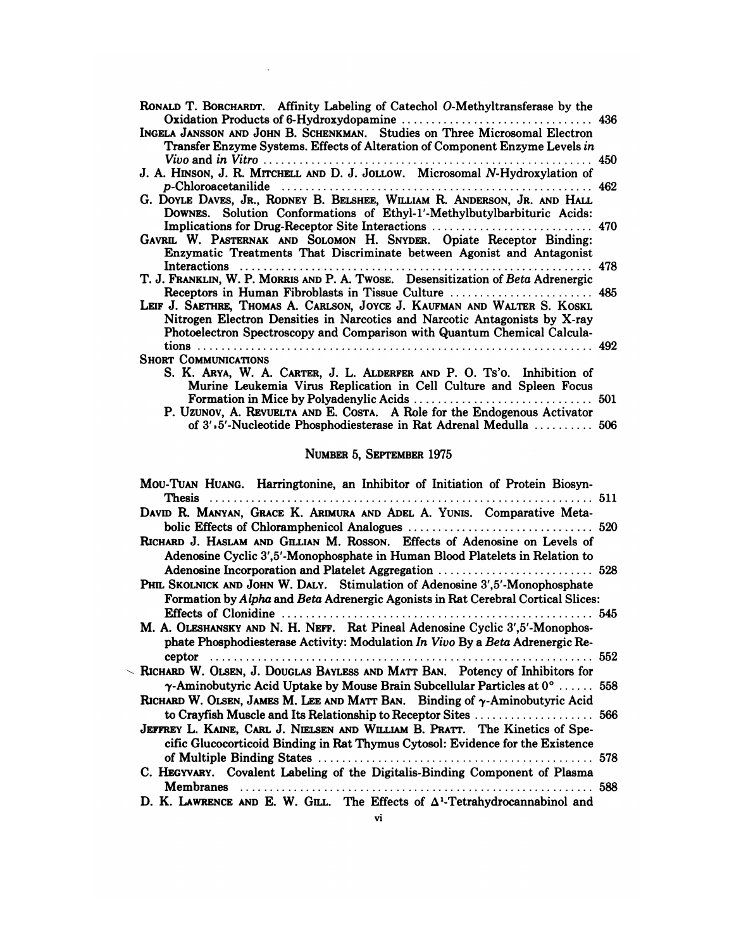| RONALD T. BORCHARDT. Affinity Labeling of Catechol O-Methyltransferase by the                                                                                                                                                                                                                |       |
|----------------------------------------------------------------------------------------------------------------------------------------------------------------------------------------------------------------------------------------------------------------------------------------------|-------|
| INGELA JANSSON AND JOHN B. SCHENKMAN. Studies on Three Microsomal Electron<br>Transfer Enzyme Systems. Effects of Alteration of Component Enzyme Levels in                                                                                                                                   |       |
| J. A. HINSON, J. R. MITCHELL AND D. J. JOLLOW. Microsomal N-Hydroxylation of                                                                                                                                                                                                                 |       |
| G. DOYLE DAVES, JR., RODNEY B. BELSHEE, WILLIAM R. ANDERSON, JR. AND HALL<br>DOWNES. Solution Conformations of Ethyl-1'-Methylbutylbarbituric Acids:                                                                                                                                         |       |
| GAVRIL W. PASTERNAK AND SOLOMON H. SNYDER. Opiate Receptor Binding:<br>Enzymatic Treatments That Discriminate between Agonist and Antagonist                                                                                                                                                 |       |
| T. J. FRANKLIN, W. P. MORRIS AND P. A. TWOSE. Desensitization of Beta Adrenergic                                                                                                                                                                                                             | . 478 |
| Receptors in Human Fibroblasts in Tissue Culture  485<br>LEIF J. SAETHRE, THOMAS A. CARLSON, JOYCE J. KAUFMAN AND WALTER S. KOSKI.<br>Nitrogen Electron Densities in Narcotics and Narcotic Antagonists by X-ray<br>Photoelectron Spectroscopy and Comparison with Quantum Chemical Calcula- |       |
|                                                                                                                                                                                                                                                                                              |       |
| <b>SHORT COMMUNICATIONS</b><br>S. K. ARYA, W. A. CARTER, J. L. ALDERFER AND P. O. Ts'o. Inhibition of<br>Murine Leukemia Virus Replication in Cell Culture and Spleen Focus                                                                                                                  |       |
| P. Uzunov, A. REVUELTA AND E. COSTA. A Role for the Endogenous Activator                                                                                                                                                                                                                     |       |
| of 3'.5'-Nucleotide Phosphodiesterase in Rat Adrenal Medulla  506                                                                                                                                                                                                                            |       |
|                                                                                                                                                                                                                                                                                              |       |

# NUMBER 5, SEPTEMBER 1975

| 0.0 o io - I futto di la filosoficazione della futto di medicina di futto di controlle di controlle di controlle di futto di controlle di controlle di controlle di controlle di controlle di controlle di controlle di contro |     |
|--------------------------------------------------------------------------------------------------------------------------------------------------------------------------------------------------------------------------------|-----|
| NUMBER 5, SEPTEMBER 1975                                                                                                                                                                                                       |     |
| MOU-TUAN HUANG. Harringtonine, an Inhibitor of Initiation of Protein Biosyn-                                                                                                                                                   |     |
| DAVID R. MANYAN, GRACE K. ARIMURA AND ADEL A. YUNIS. Comparative Meta-                                                                                                                                                         |     |
|                                                                                                                                                                                                                                |     |
| RICHARD J. HASLAM AND GILLIAN M. ROSSON. Effects of Adenosine on Levels of<br>Adenosine Cyclic 3',5'-Monophosphate in Human Blood Platelets in Relation to                                                                     |     |
| Adenosine Incorporation and Platelet Aggregation                                                                                                                                                                               | 528 |
| PHIL SKOLNICK AND JOHN W. DALY. Stimulation of Adenosine 3',5'-Monophosphate                                                                                                                                                   |     |
| Formation by Alpha and Beta Adrenergic Agonists in Rat Cerebral Cortical Slices:                                                                                                                                               |     |
|                                                                                                                                                                                                                                |     |
| M. A. OLESHANSKY AND N. H. NEFF. Rat Pineal Adenosine Cyclic 3',5'-Monophos-<br>phate Phosphodiesterase Activity: Modulation In Vivo By a Beta Adrenergic Re-                                                                  |     |
|                                                                                                                                                                                                                                |     |
| RICHARD W. OLSEN, J. DOUGLAS BAYLESS AND MATT BAN. Potency of Inhibitors for                                                                                                                                                   |     |
| $\gamma$ -Aminobutyric Acid Uptake by Mouse Brain Subcellular Particles at $0^{\circ}$ 558<br>RICHARD W. OLSEN, JAMES M. LEE AND MATT BAN. Binding of $\gamma$ -Aminobutyric Acid                                              |     |
|                                                                                                                                                                                                                                |     |
| JEFFREY L. KAINE, CARL J. NIELSEN AND WILLIAM B. PRATT. The Kinetics of Spe-<br>cific Glucocorticoid Binding in Rat Thymus Cytosol: Evidence for the Existence                                                                 |     |
| of Multiple Binding States<br>. 578                                                                                                                                                                                            |     |
| C. HEGYVARY. Covalent Labeling of the Digitalis-Binding Component of Plasma                                                                                                                                                    |     |
|                                                                                                                                                                                                                                | 588 |
| D. K. LAWRENCE AND E. W. GILL. The Effects of $\Delta^1$ -Tetrahydrocannabinol and                                                                                                                                             |     |
| vi                                                                                                                                                                                                                             |     |

 $\overline{\phantom{0}}$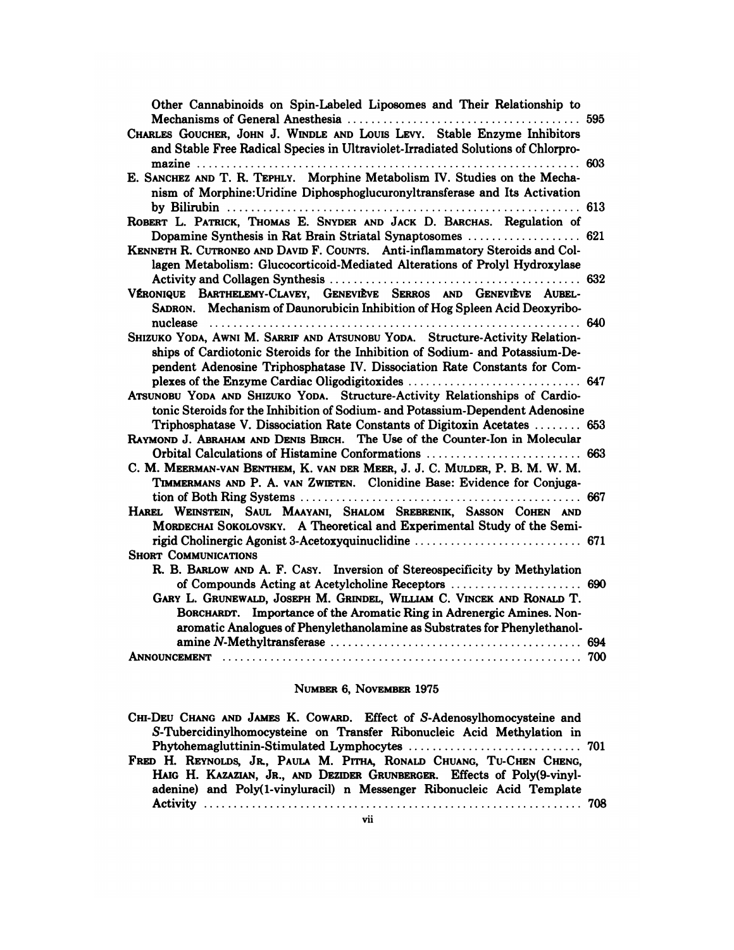| Other Cannabinoids on Spin-Labeled Liposomes and Their Relationship to<br>and Stable Free Radical Species in Ultraviolet-Irradiated Solutions of Chlorpro-<br>nism of Morphine: Uridine Diphosphoglucuronyltransferase and Its Activation<br>Dopamine Synthesis in Rat Brain Striatal Synaptosomes  621<br>lagen Metabolism: Glucocorticoid-Mediated Alterations of Prolyl Hydroxylase<br>SADRON. Mechanism of Daunorubicin Inhibition of Hog Spleen Acid Deoxyribo-<br>ships of Cardiotonic Steroids for the Inhibition of Sodium- and Potassium-De-<br>pendent Adenosine Triphosphatase IV. Dissociation Rate Constants for Com-<br>tonic Steroids for the Inhibition of Sodium- and Potassium-Dependent Adenosine<br>Triphosphatase V. Dissociation Rate Constants of Digitoxin Acetates  653<br>Orbital Calculations of Histamine Conformations  663<br>TIMMERMANS AND P. A. VAN ZWIETEN. Clonidine Base: Evidence for Conjuga- |  |
|-------------------------------------------------------------------------------------------------------------------------------------------------------------------------------------------------------------------------------------------------------------------------------------------------------------------------------------------------------------------------------------------------------------------------------------------------------------------------------------------------------------------------------------------------------------------------------------------------------------------------------------------------------------------------------------------------------------------------------------------------------------------------------------------------------------------------------------------------------------------------------------------------------------------------------------|--|
| CHARLES GOUCHER, JOHN J. WINDLE AND LOUIS LEVY. Stable Enzyme Inhibitors<br>E. SANCHEZ AND T. R. TEPHLY. Morphine Metabolism IV. Studies on the Mecha-<br>ROBERT L. PATRICK, THOMAS E. SNYDER AND JACK D. BARCHAS. Regulation of<br>KENNETH R. CUTRONEO AND DAVID F. COUNTS. Anti-inflammatory Steroids and Col-<br>VÉRONIQUE BARTHELEMY-CLAVEY, GENEVIÈVE SERROS AND GENEVIÈVE AUBEL-<br>SHIZUKO YODA, AWNI M. SARRIF AND ATSUNOBU YODA. Structure-Activity Relation-<br>ATSUNOBU YODA AND SHIZUKO YODA. Structure-Activity Relationships of Cardio-<br>RAYMOND J. ABRAHAM AND DENIS BIRCH. The Use of the Counter-Ion in Molecular<br>C. M. MEERMAN-VAN BENTHEM, K. VAN DER MEER, J. J. C. MULDER, P. B. M. W. M.<br>HAREL WEINSTEIN, SAUL MAAYANI, SHALOM SREBRENIK, SASSON COHEN AND                                                                                                                                            |  |
|                                                                                                                                                                                                                                                                                                                                                                                                                                                                                                                                                                                                                                                                                                                                                                                                                                                                                                                                     |  |
|                                                                                                                                                                                                                                                                                                                                                                                                                                                                                                                                                                                                                                                                                                                                                                                                                                                                                                                                     |  |
|                                                                                                                                                                                                                                                                                                                                                                                                                                                                                                                                                                                                                                                                                                                                                                                                                                                                                                                                     |  |
|                                                                                                                                                                                                                                                                                                                                                                                                                                                                                                                                                                                                                                                                                                                                                                                                                                                                                                                                     |  |
|                                                                                                                                                                                                                                                                                                                                                                                                                                                                                                                                                                                                                                                                                                                                                                                                                                                                                                                                     |  |
|                                                                                                                                                                                                                                                                                                                                                                                                                                                                                                                                                                                                                                                                                                                                                                                                                                                                                                                                     |  |
|                                                                                                                                                                                                                                                                                                                                                                                                                                                                                                                                                                                                                                                                                                                                                                                                                                                                                                                                     |  |
|                                                                                                                                                                                                                                                                                                                                                                                                                                                                                                                                                                                                                                                                                                                                                                                                                                                                                                                                     |  |
|                                                                                                                                                                                                                                                                                                                                                                                                                                                                                                                                                                                                                                                                                                                                                                                                                                                                                                                                     |  |
|                                                                                                                                                                                                                                                                                                                                                                                                                                                                                                                                                                                                                                                                                                                                                                                                                                                                                                                                     |  |
| MORDECHAI SOKOLOVSKY. A Theoretical and Experimental Study of the Semi-                                                                                                                                                                                                                                                                                                                                                                                                                                                                                                                                                                                                                                                                                                                                                                                                                                                             |  |
| <b>SHORT COMMUNICATIONS</b>                                                                                                                                                                                                                                                                                                                                                                                                                                                                                                                                                                                                                                                                                                                                                                                                                                                                                                         |  |
| R. B. BARLOW AND A. F. CASY. Inversion of Stereospecificity by Methylation<br>GARY L. GRUNEWALD, JOSEPH M. GRINDEL, WILLIAM C. VINCEK AND RONALD T.<br>BORCHARDT. Importance of the Aromatic Ring in Adrenergic Amines. Non-                                                                                                                                                                                                                                                                                                                                                                                                                                                                                                                                                                                                                                                                                                        |  |
| aromatic Analogues of Phenylethanolamine as Substrates for Phenylethanol-                                                                                                                                                                                                                                                                                                                                                                                                                                                                                                                                                                                                                                                                                                                                                                                                                                                           |  |

## NUMBER 6, NOVEMBER 1975

| NUMBER 6. NOVEMBER 1975                                                                                                                                                                                                   |  |
|---------------------------------------------------------------------------------------------------------------------------------------------------------------------------------------------------------------------------|--|
| CHI-DEU CHANG AND JAMES K. COWARD. Effect of S-Adenosylhomocysteine and<br>S-Tubercidinylhomocysteine on Transfer Ribonucleic Acid Methylation in                                                                         |  |
|                                                                                                                                                                                                                           |  |
| FRED H. REYNOLDS, JR., PAULA M. PITHA, RONALD CHUANG, TU-CHEN CHENG,<br>HAIG H. KAZAZIAN, JR., AND DEZIDER GRUNBERGER. Effects of Poly(9-vinyl-<br>adenine) and Poly(1-vinyluracil) n Messenger Ribonucleic Acid Template |  |
| Activity                                                                                                                                                                                                                  |  |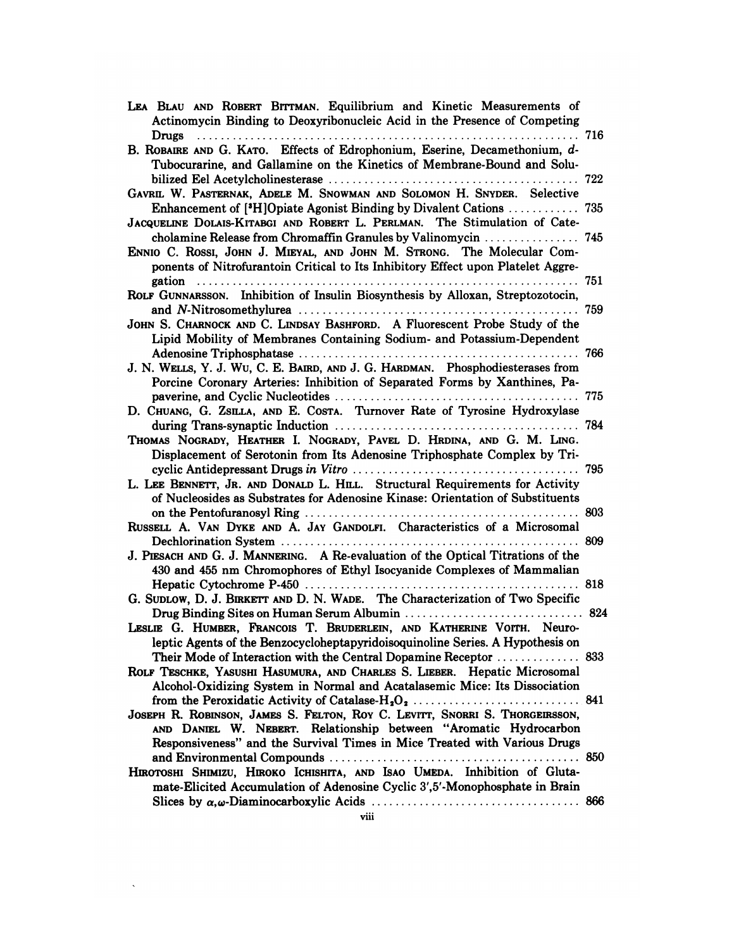| LEA BLAU AND ROBERT BITTMAN. Equilibrium and Kinetic Measurements of<br>Actinomycin Binding to Deoxyribonucleic Acid in the Presence of Competing                                                                       |     |
|-------------------------------------------------------------------------------------------------------------------------------------------------------------------------------------------------------------------------|-----|
| Drugs                                                                                                                                                                                                                   |     |
| B. ROBAIRE AND G. KATO. Effects of Edrophonium, Eserine, Decamethonium, d-                                                                                                                                              |     |
| Tubocurarine, and Gallamine on the Kinetics of Membrane-Bound and Solu-                                                                                                                                                 |     |
|                                                                                                                                                                                                                         | 722 |
| GAVRIL W. PASTERNAK, ADELE M. SNOWMAN AND SOLOMON H. SNYDER. Selective                                                                                                                                                  |     |
| <b>Enhancement of [*H]Opiate Agonist Binding by Divalent Cations  735</b>                                                                                                                                               |     |
| JACQUELINE DOLAIS-KITABGI AND ROBERT L. PERLMAN. The Stimulation of Cate-                                                                                                                                               |     |
| cholamine Release from Chromaffin Granules by Valinomycin<br>ENNIO C. ROSSI, JOHN J. MIEYAL, AND JOHN M. STRONG. The Molecular Com-<br>ponents of Nitrofurantoin Critical to Its Inhibitory Effect upon Platelet Aggre- | 745 |
| gation<br>. 751                                                                                                                                                                                                         |     |
| ROLF GUNNARSSON. Inhibition of Insulin Biosynthesis by Alloxan, Streptozotocin,                                                                                                                                         |     |
|                                                                                                                                                                                                                         |     |
| JOHN S. CHARNOCK AND C. LINDSAY BASHFORD. A Fluorescent Probe Study of the                                                                                                                                              |     |
| Lipid Mobility of Membranes Containing Sodium- and Potassium-Dependent                                                                                                                                                  |     |
|                                                                                                                                                                                                                         |     |
| J. N. WELLS, Y. J. WU, C. E. BAIRD, AND J. G. HARDMAN. Phosphodiesterases from                                                                                                                                          |     |
| Porcine Coronary Arteries: Inhibition of Separated Forms by Xanthines, Pa-                                                                                                                                              |     |
|                                                                                                                                                                                                                         |     |
| D. CHUANG, G. ZSILLA, AND E. COSTA. Turnover Rate of Tyrosine Hydroxylase                                                                                                                                               |     |
|                                                                                                                                                                                                                         |     |
| THOMAS NOGRADY, HEATHER I. NOGRADY, PAVEL D. HRDINA, AND G. M. LING.                                                                                                                                                    |     |
| Displacement of Serotonin from Its Adenosine Triphosphate Complex by Tri-                                                                                                                                               |     |
|                                                                                                                                                                                                                         |     |
| L. LEE BENNETT, JR. AND DONALD L. HILL. Structural Requirements for Activity<br>of Nucleosides as Substrates for Adenosine Kinase: Orientation of Substituents                                                          |     |
|                                                                                                                                                                                                                         |     |
| RUSSELL A. VAN DYKE AND A. JAY GANDOLFI. Characteristics of a Microsomal                                                                                                                                                |     |
|                                                                                                                                                                                                                         |     |
| J. PIESACH AND G. J. MANNERING. A Re-evaluation of the Optical Titrations of the                                                                                                                                        |     |
| 430 and 455 nm Chromophores of Ethyl Isocyanide Complexes of Mammalian                                                                                                                                                  |     |
|                                                                                                                                                                                                                         |     |
| G. SUDLOW, D. J. BIRKETT AND D. N. WADE. The Characterization of Two Specific                                                                                                                                           |     |
|                                                                                                                                                                                                                         |     |
| LESLIE G. HUMBER, FRANCOIS T. BRUDERLEIN, AND KATHERINE VOITH. Neuro-                                                                                                                                                   |     |
| leptic Agents of the Benzocycloheptapyridoisoquinoline Series. A Hypothesis on                                                                                                                                          |     |
| Their Mode of Interaction with the Central Dopamine Receptor  833                                                                                                                                                       |     |
| ROLF TESCHKE, YASUSHI HASUMURA, AND CHARLES S. LIEBER. Hepatic Microsomal                                                                                                                                               |     |
| Alcohol-Oxidizing System in Normal and Acatalasemic Mice: Its Dissociation                                                                                                                                              |     |
|                                                                                                                                                                                                                         |     |
| JOSEPH R. ROBINSON, JAMES S. FELTON, ROY C. LEVITT, SNORRI S. THORGEIRSSON,                                                                                                                                             |     |
| AND DANIEL W. NEBERT. Relationship between "Aromatic Hydrocarbon<br>Responsiveness" and the Survival Times in Mice Treated with Various Drugs                                                                           |     |
|                                                                                                                                                                                                                         |     |
| HIROTOSHI SHIMIZU, HIROKO ICHISHITA, AND ISAO UMEDA. Inhibition of Gluta-                                                                                                                                               |     |
| mate-Elicited Accumulation of Adenosine Cyclic 3',5'-Monophosphate in Brain                                                                                                                                             |     |
|                                                                                                                                                                                                                         |     |
| viii                                                                                                                                                                                                                    |     |

 $\sim 10^{11}$  km s  $^{-1}$